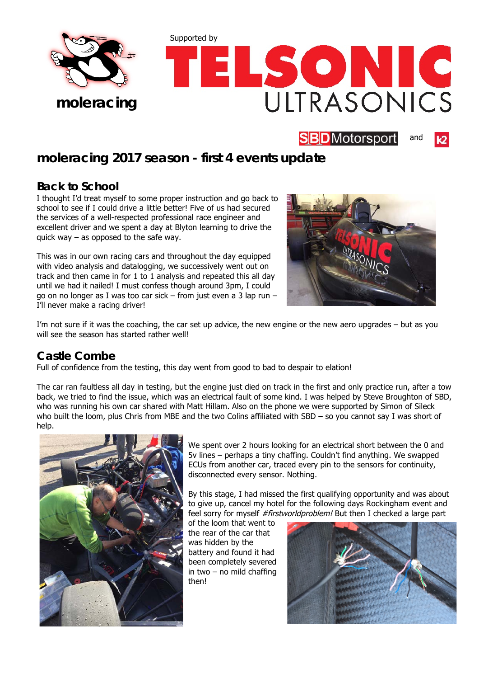



#### **SBD**Motorsport and

# **moleracing 2017 season - first 4 events update**

# **Back to School**

I thought I'd treat myself to some proper instruction and go back to school to see if I could drive a little better! Five of us had secured the services of a well-respected professional race engineer and excellent driver and we spent a day at Blyton learning to drive the quick way  $-$  as opposed to the safe way.

This was in our own racing cars and throughout the day equipped with video analysis and datalogging, we successively went out on track and then came in for 1 to 1 analysis and repeated this all day until we had it nailed! I must confess though around 3pm, I could go on no longer as I was too car sick – from just even a 3 lap run I'll never make a racing driver!



I'm not sure if it was the coaching, the car set up advice, the new engine or the new aero upgrades – but as you will see the season has started rather well!

# **Castle Combe**

Full of confidence from the testing, this day went from good to bad to despair to elation!

The car ran faultless all day in testing, but the engine just died on track in the first and only practice run, after a tow back, we tried to find the issue, which was an electrical fault of some kind. I was helped by Steve Broughton of SBD, who was running his own car shared with Matt Hillam. Also on the phone we were supported by Simon of Sileck who built the loom, plus Chris from MBE and the two Colins affiliated with SBD – so you cannot say I was short of help.



We spent over 2 hours looking for an electrical short between the 0 and 5v lines – perhaps a tiny chaffing. Couldn't find anything. We swapped ECUs from another car, traced every pin to the sensors for continuity, disconnected every sensor. Nothing.

By this stage, I had missed the first qualifying opportunity and was about to give up, cancel my hotel for the following days Rockingham event and feel sorry for myself #firstworldproblem! But then I checked a large part

of the loom that went to the rear of the car that was hidden by the battery and found it had been completely severed in two – no mild chaffing then!

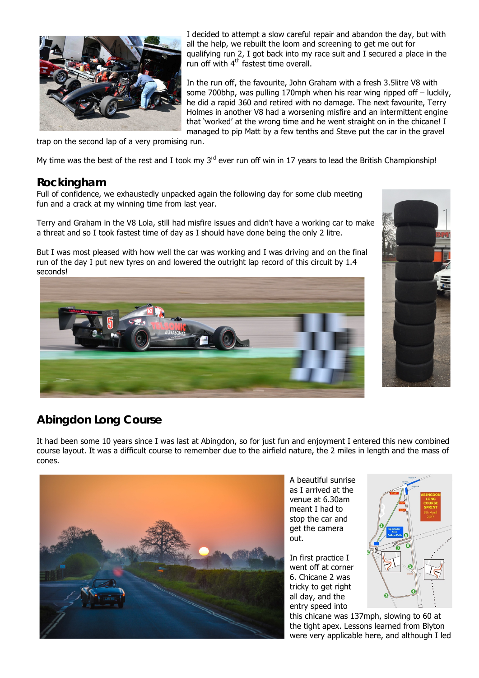

I decided to attempt a slow careful repair and abandon the day, but with all the help, we rebuilt the loom and screening to get me out for qualifying run 2, I got back into my race suit and I secured a place in the run off with  $4<sup>th</sup>$  fastest time overall.

In the run off, the favourite, John Graham with a fresh 3.5litre V8 with some 700bhp, was pulling 170mph when his rear wing ripped off – luckily, he did a rapid 360 and retired with no damage. The next favourite, Terry Holmes in another V8 had a worsening misfire and an intermittent engine that 'worked' at the wrong time and he went straight on in the chicane! I managed to pip Matt by a few tenths and Steve put the car in the gravel

trap on the second lap of a very promising run.

My time was the best of the rest and I took my  $3^{rd}$  ever run off win in 17 years to lead the British Championship!

### **Rockingham**

Full of confidence, we exhaustedly unpacked again the following day for some club meeting fun and a crack at my winning time from last year.

Terry and Graham in the V8 Lola, still had misfire issues and didn't have a working car to make a threat and so I took fastest time of day as I should have done being the only 2 litre.

But I was most pleased with how well the car was working and I was driving and on the final run of the day I put new tyres on and lowered the outright lap record of this circuit by 1.4 seconds!





# **Abingdon Long Course**

It had been some 10 years since I was last at Abingdon, so for just fun and enjoyment I entered this new combined course layout. It was a difficult course to remember due to the airfield nature, the 2 miles in length and the mass of cones.



A beautiful sunrise as I arrived at the venue at 6.30am meant I had to stop the car and get the camera out.

In first practice I went off at corner 6. Chicane 2 was tricky to get right all day, and the entry speed into



this chicane was 137mph, slowing to 60 at the tight apex. Lessons learned from Blyton were very applicable here, and although I led